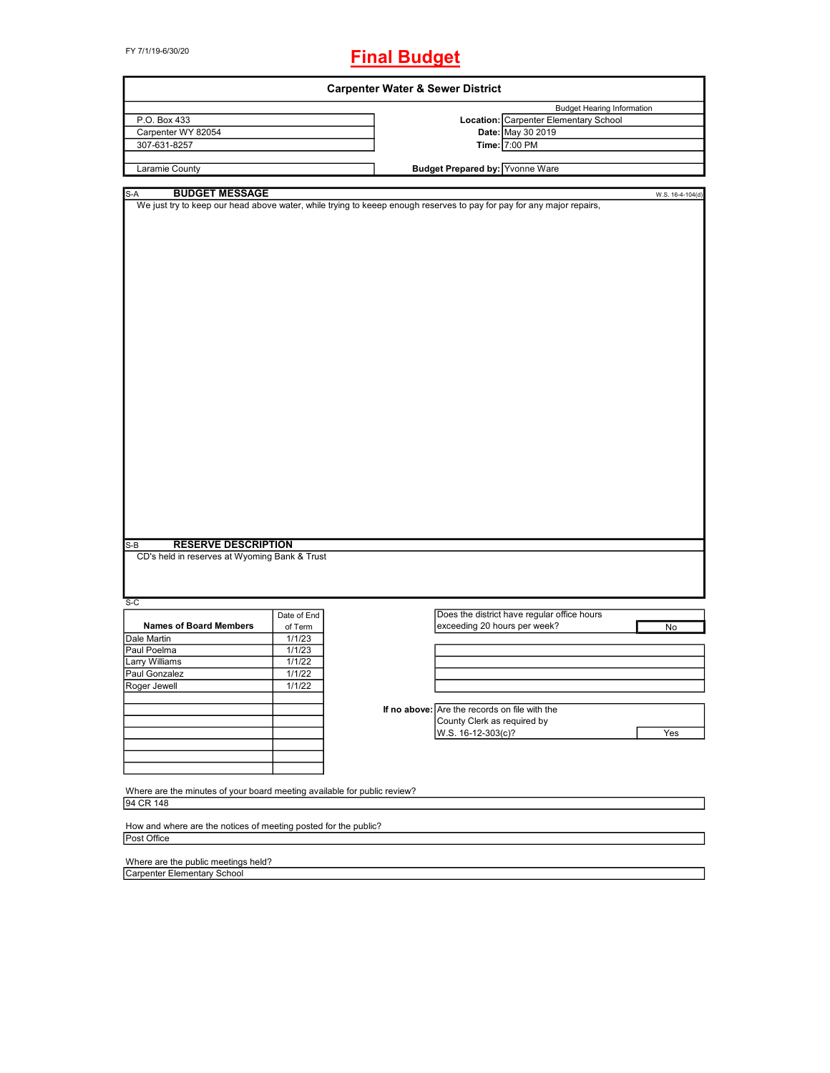FY 7/1/19-6/30/20

## **Final Budget**

| <b>Budget Hearing Information</b><br>P.O. Box 433<br>Location: Carpenter Elementary School<br>Carpenter WY 82054<br>Date: May 30 2019<br>307-631-8257<br>Time: 7:00 PM<br>Budget Prepared by: Yvonne Ware<br>Laramie County<br><b>BUDGET MESSAGE</b><br>S-A<br>W.S. 16-4-104(d)<br>We just try to keep our head above water, while trying to keeep enough reserves to pay for pay for any major repairs,<br><b>RESERVE DESCRIPTION</b><br>$S-B$<br>CD's held in reserves at Wyoming Bank & Trust<br>$S-C$<br>Does the district have regular office hours<br>Date of End<br><b>Names of Board Members</b><br>exceeding 20 hours per week?<br>of Term<br>No<br>1/1/23<br>1/1/23<br>Larry Williams<br>1/1/22<br>1/1/22<br>1/1/22<br>If no above: Are the records on file with the<br>County Clerk as required by<br>W.S. 16-12-303(c)?<br>Yes<br>Where are the minutes of your board meeting available for public review?<br>94 CR 148<br>How and where are the notices of meeting posted for the public?<br>Post Office |                                                             | <b>Carpenter Water &amp; Sewer District</b> |  |  |
|-----------------------------------------------------------------------------------------------------------------------------------------------------------------------------------------------------------------------------------------------------------------------------------------------------------------------------------------------------------------------------------------------------------------------------------------------------------------------------------------------------------------------------------------------------------------------------------------------------------------------------------------------------------------------------------------------------------------------------------------------------------------------------------------------------------------------------------------------------------------------------------------------------------------------------------------------------------------------------------------------------------------------|-------------------------------------------------------------|---------------------------------------------|--|--|
|                                                                                                                                                                                                                                                                                                                                                                                                                                                                                                                                                                                                                                                                                                                                                                                                                                                                                                                                                                                                                       |                                                             |                                             |  |  |
|                                                                                                                                                                                                                                                                                                                                                                                                                                                                                                                                                                                                                                                                                                                                                                                                                                                                                                                                                                                                                       |                                                             |                                             |  |  |
|                                                                                                                                                                                                                                                                                                                                                                                                                                                                                                                                                                                                                                                                                                                                                                                                                                                                                                                                                                                                                       |                                                             |                                             |  |  |
|                                                                                                                                                                                                                                                                                                                                                                                                                                                                                                                                                                                                                                                                                                                                                                                                                                                                                                                                                                                                                       |                                                             |                                             |  |  |
|                                                                                                                                                                                                                                                                                                                                                                                                                                                                                                                                                                                                                                                                                                                                                                                                                                                                                                                                                                                                                       |                                                             |                                             |  |  |
|                                                                                                                                                                                                                                                                                                                                                                                                                                                                                                                                                                                                                                                                                                                                                                                                                                                                                                                                                                                                                       |                                                             |                                             |  |  |
|                                                                                                                                                                                                                                                                                                                                                                                                                                                                                                                                                                                                                                                                                                                                                                                                                                                                                                                                                                                                                       |                                                             |                                             |  |  |
|                                                                                                                                                                                                                                                                                                                                                                                                                                                                                                                                                                                                                                                                                                                                                                                                                                                                                                                                                                                                                       |                                                             |                                             |  |  |
|                                                                                                                                                                                                                                                                                                                                                                                                                                                                                                                                                                                                                                                                                                                                                                                                                                                                                                                                                                                                                       |                                                             |                                             |  |  |
|                                                                                                                                                                                                                                                                                                                                                                                                                                                                                                                                                                                                                                                                                                                                                                                                                                                                                                                                                                                                                       |                                                             |                                             |  |  |
|                                                                                                                                                                                                                                                                                                                                                                                                                                                                                                                                                                                                                                                                                                                                                                                                                                                                                                                                                                                                                       |                                                             |                                             |  |  |
|                                                                                                                                                                                                                                                                                                                                                                                                                                                                                                                                                                                                                                                                                                                                                                                                                                                                                                                                                                                                                       |                                                             |                                             |  |  |
|                                                                                                                                                                                                                                                                                                                                                                                                                                                                                                                                                                                                                                                                                                                                                                                                                                                                                                                                                                                                                       |                                                             |                                             |  |  |
|                                                                                                                                                                                                                                                                                                                                                                                                                                                                                                                                                                                                                                                                                                                                                                                                                                                                                                                                                                                                                       |                                                             |                                             |  |  |
|                                                                                                                                                                                                                                                                                                                                                                                                                                                                                                                                                                                                                                                                                                                                                                                                                                                                                                                                                                                                                       |                                                             |                                             |  |  |
|                                                                                                                                                                                                                                                                                                                                                                                                                                                                                                                                                                                                                                                                                                                                                                                                                                                                                                                                                                                                                       |                                                             |                                             |  |  |
|                                                                                                                                                                                                                                                                                                                                                                                                                                                                                                                                                                                                                                                                                                                                                                                                                                                                                                                                                                                                                       |                                                             |                                             |  |  |
|                                                                                                                                                                                                                                                                                                                                                                                                                                                                                                                                                                                                                                                                                                                                                                                                                                                                                                                                                                                                                       |                                                             |                                             |  |  |
|                                                                                                                                                                                                                                                                                                                                                                                                                                                                                                                                                                                                                                                                                                                                                                                                                                                                                                                                                                                                                       |                                                             |                                             |  |  |
|                                                                                                                                                                                                                                                                                                                                                                                                                                                                                                                                                                                                                                                                                                                                                                                                                                                                                                                                                                                                                       |                                                             |                                             |  |  |
|                                                                                                                                                                                                                                                                                                                                                                                                                                                                                                                                                                                                                                                                                                                                                                                                                                                                                                                                                                                                                       |                                                             |                                             |  |  |
|                                                                                                                                                                                                                                                                                                                                                                                                                                                                                                                                                                                                                                                                                                                                                                                                                                                                                                                                                                                                                       |                                                             |                                             |  |  |
|                                                                                                                                                                                                                                                                                                                                                                                                                                                                                                                                                                                                                                                                                                                                                                                                                                                                                                                                                                                                                       |                                                             |                                             |  |  |
|                                                                                                                                                                                                                                                                                                                                                                                                                                                                                                                                                                                                                                                                                                                                                                                                                                                                                                                                                                                                                       |                                                             |                                             |  |  |
|                                                                                                                                                                                                                                                                                                                                                                                                                                                                                                                                                                                                                                                                                                                                                                                                                                                                                                                                                                                                                       |                                                             |                                             |  |  |
|                                                                                                                                                                                                                                                                                                                                                                                                                                                                                                                                                                                                                                                                                                                                                                                                                                                                                                                                                                                                                       |                                                             |                                             |  |  |
|                                                                                                                                                                                                                                                                                                                                                                                                                                                                                                                                                                                                                                                                                                                                                                                                                                                                                                                                                                                                                       |                                                             |                                             |  |  |
|                                                                                                                                                                                                                                                                                                                                                                                                                                                                                                                                                                                                                                                                                                                                                                                                                                                                                                                                                                                                                       |                                                             |                                             |  |  |
|                                                                                                                                                                                                                                                                                                                                                                                                                                                                                                                                                                                                                                                                                                                                                                                                                                                                                                                                                                                                                       |                                                             |                                             |  |  |
|                                                                                                                                                                                                                                                                                                                                                                                                                                                                                                                                                                                                                                                                                                                                                                                                                                                                                                                                                                                                                       |                                                             |                                             |  |  |
|                                                                                                                                                                                                                                                                                                                                                                                                                                                                                                                                                                                                                                                                                                                                                                                                                                                                                                                                                                                                                       |                                                             |                                             |  |  |
|                                                                                                                                                                                                                                                                                                                                                                                                                                                                                                                                                                                                                                                                                                                                                                                                                                                                                                                                                                                                                       |                                                             |                                             |  |  |
|                                                                                                                                                                                                                                                                                                                                                                                                                                                                                                                                                                                                                                                                                                                                                                                                                                                                                                                                                                                                                       |                                                             |                                             |  |  |
|                                                                                                                                                                                                                                                                                                                                                                                                                                                                                                                                                                                                                                                                                                                                                                                                                                                                                                                                                                                                                       |                                                             |                                             |  |  |
|                                                                                                                                                                                                                                                                                                                                                                                                                                                                                                                                                                                                                                                                                                                                                                                                                                                                                                                                                                                                                       |                                                             |                                             |  |  |
|                                                                                                                                                                                                                                                                                                                                                                                                                                                                                                                                                                                                                                                                                                                                                                                                                                                                                                                                                                                                                       |                                                             |                                             |  |  |
|                                                                                                                                                                                                                                                                                                                                                                                                                                                                                                                                                                                                                                                                                                                                                                                                                                                                                                                                                                                                                       |                                                             |                                             |  |  |
|                                                                                                                                                                                                                                                                                                                                                                                                                                                                                                                                                                                                                                                                                                                                                                                                                                                                                                                                                                                                                       |                                                             |                                             |  |  |
|                                                                                                                                                                                                                                                                                                                                                                                                                                                                                                                                                                                                                                                                                                                                                                                                                                                                                                                                                                                                                       |                                                             |                                             |  |  |
|                                                                                                                                                                                                                                                                                                                                                                                                                                                                                                                                                                                                                                                                                                                                                                                                                                                                                                                                                                                                                       |                                                             |                                             |  |  |
|                                                                                                                                                                                                                                                                                                                                                                                                                                                                                                                                                                                                                                                                                                                                                                                                                                                                                                                                                                                                                       |                                                             |                                             |  |  |
|                                                                                                                                                                                                                                                                                                                                                                                                                                                                                                                                                                                                                                                                                                                                                                                                                                                                                                                                                                                                                       |                                                             |                                             |  |  |
|                                                                                                                                                                                                                                                                                                                                                                                                                                                                                                                                                                                                                                                                                                                                                                                                                                                                                                                                                                                                                       |                                                             |                                             |  |  |
|                                                                                                                                                                                                                                                                                                                                                                                                                                                                                                                                                                                                                                                                                                                                                                                                                                                                                                                                                                                                                       |                                                             |                                             |  |  |
|                                                                                                                                                                                                                                                                                                                                                                                                                                                                                                                                                                                                                                                                                                                                                                                                                                                                                                                                                                                                                       |                                                             |                                             |  |  |
|                                                                                                                                                                                                                                                                                                                                                                                                                                                                                                                                                                                                                                                                                                                                                                                                                                                                                                                                                                                                                       |                                                             |                                             |  |  |
|                                                                                                                                                                                                                                                                                                                                                                                                                                                                                                                                                                                                                                                                                                                                                                                                                                                                                                                                                                                                                       |                                                             |                                             |  |  |
|                                                                                                                                                                                                                                                                                                                                                                                                                                                                                                                                                                                                                                                                                                                                                                                                                                                                                                                                                                                                                       |                                                             |                                             |  |  |
|                                                                                                                                                                                                                                                                                                                                                                                                                                                                                                                                                                                                                                                                                                                                                                                                                                                                                                                                                                                                                       |                                                             |                                             |  |  |
|                                                                                                                                                                                                                                                                                                                                                                                                                                                                                                                                                                                                                                                                                                                                                                                                                                                                                                                                                                                                                       |                                                             |                                             |  |  |
|                                                                                                                                                                                                                                                                                                                                                                                                                                                                                                                                                                                                                                                                                                                                                                                                                                                                                                                                                                                                                       |                                                             |                                             |  |  |
|                                                                                                                                                                                                                                                                                                                                                                                                                                                                                                                                                                                                                                                                                                                                                                                                                                                                                                                                                                                                                       |                                                             |                                             |  |  |
|                                                                                                                                                                                                                                                                                                                                                                                                                                                                                                                                                                                                                                                                                                                                                                                                                                                                                                                                                                                                                       |                                                             |                                             |  |  |
|                                                                                                                                                                                                                                                                                                                                                                                                                                                                                                                                                                                                                                                                                                                                                                                                                                                                                                                                                                                                                       |                                                             |                                             |  |  |
|                                                                                                                                                                                                                                                                                                                                                                                                                                                                                                                                                                                                                                                                                                                                                                                                                                                                                                                                                                                                                       |                                                             |                                             |  |  |
|                                                                                                                                                                                                                                                                                                                                                                                                                                                                                                                                                                                                                                                                                                                                                                                                                                                                                                                                                                                                                       | Dale Martin<br>Paul Poelma<br>Paul Gonzalez<br>Roger Jewell |                                             |  |  |
|                                                                                                                                                                                                                                                                                                                                                                                                                                                                                                                                                                                                                                                                                                                                                                                                                                                                                                                                                                                                                       |                                                             |                                             |  |  |
|                                                                                                                                                                                                                                                                                                                                                                                                                                                                                                                                                                                                                                                                                                                                                                                                                                                                                                                                                                                                                       |                                                             |                                             |  |  |
|                                                                                                                                                                                                                                                                                                                                                                                                                                                                                                                                                                                                                                                                                                                                                                                                                                                                                                                                                                                                                       |                                                             |                                             |  |  |
|                                                                                                                                                                                                                                                                                                                                                                                                                                                                                                                                                                                                                                                                                                                                                                                                                                                                                                                                                                                                                       |                                                             |                                             |  |  |
|                                                                                                                                                                                                                                                                                                                                                                                                                                                                                                                                                                                                                                                                                                                                                                                                                                                                                                                                                                                                                       |                                                             |                                             |  |  |
|                                                                                                                                                                                                                                                                                                                                                                                                                                                                                                                                                                                                                                                                                                                                                                                                                                                                                                                                                                                                                       |                                                             |                                             |  |  |

Where are the public meetings held? Carpenter Elementary School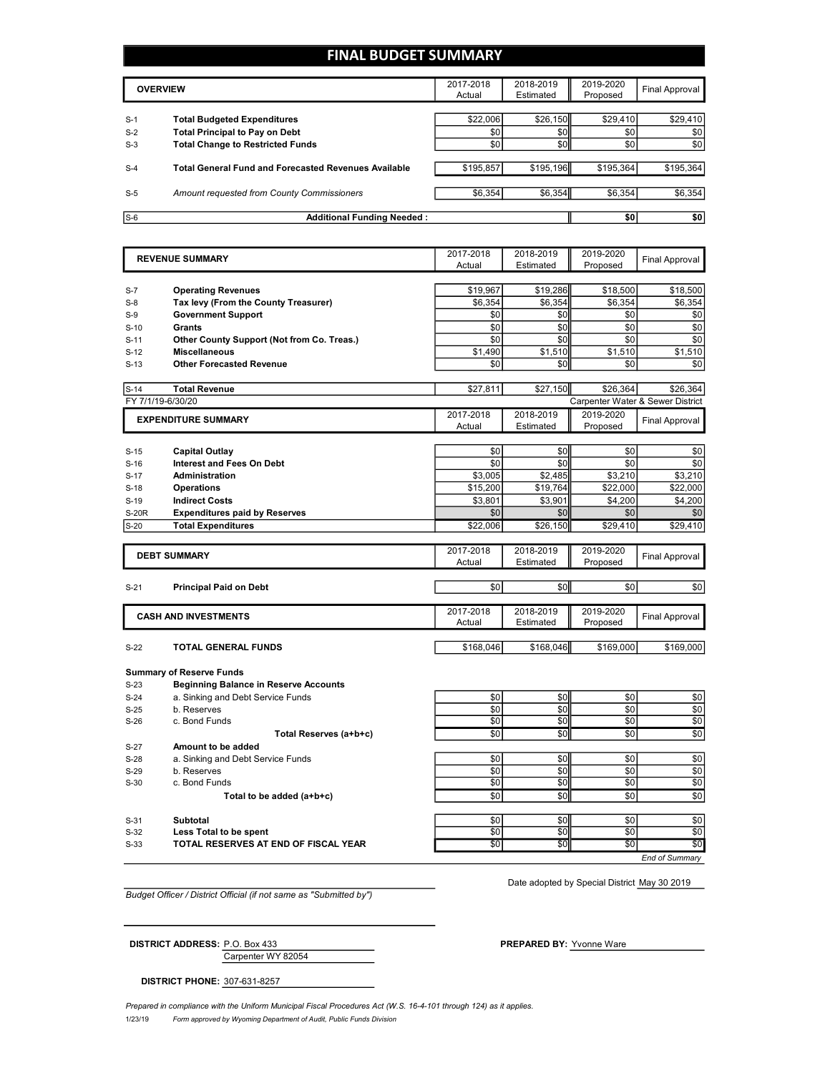## **FINAL BUDGET SUMMARY**

| <b>OVERVIEW</b> |                                                             | 2017-2018<br>Actual | 2018-2019<br>Estimated | 2019-2020<br>Proposed | Final Approval |
|-----------------|-------------------------------------------------------------|---------------------|------------------------|-----------------------|----------------|
|                 |                                                             |                     |                        |                       |                |
| $S-1$           | <b>Total Budgeted Expenditures</b>                          | \$22,006            | \$26,150               | \$29,410              | \$29,410       |
| $S-2$           | <b>Total Principal to Pay on Debt</b>                       | \$0                 | \$0                    | \$0                   | \$0            |
| $S-3$           | <b>Total Change to Restricted Funds</b>                     | \$0                 | \$0                    | \$0                   | \$0            |
|                 |                                                             |                     |                        |                       |                |
| $S-4$           | <b>Total General Fund and Forecasted Revenues Available</b> | \$195,857           | \$195,196              | \$195,364             | \$195,364      |
|                 |                                                             |                     |                        |                       |                |
| $S-5$           | Amount requested from County Commissioners                  | \$6,354             | \$6,354                | \$6,354               | \$6,354        |
|                 |                                                             |                     |                        |                       |                |
| $S-6$           | <b>Additional Funding Needed:</b>                           |                     |                        | \$0                   | \$0            |

|              | <b>REVENUE SUMMARY</b>                       | 2017-2018           | 2018-2019              | 2019-2020                        | <b>Final Approval</b> |
|--------------|----------------------------------------------|---------------------|------------------------|----------------------------------|-----------------------|
|              |                                              | Actual              | Estimated              | Proposed                         |                       |
|              |                                              |                     |                        |                                  |                       |
| $S-7$        | <b>Operating Revenues</b>                    | \$19,967            | \$19,286               | \$18,500                         | \$18,500              |
| $S-8$        | Tax levy (From the County Treasurer)         | \$6,354             | \$6,354                | \$6,354                          | \$6,354               |
| $S-9$        | <b>Government Support</b>                    | \$0                 | \$0                    | \$0                              | \$0                   |
| $S-10$       | Grants                                       | \$0                 | \$0                    | \$0                              | \$0                   |
| $S-11$       | Other County Support (Not from Co. Treas.)   | \$0                 | \$0                    | \$0                              | \$0                   |
| $S-12$       | <b>Miscellaneous</b>                         | \$1,490             | \$1,510                | \$1,510                          | \$1,510               |
| $S-13$       | <b>Other Forecasted Revenue</b>              | \$0                 | \$0                    | \$0                              | \$0                   |
| $S-14$       | <b>Total Revenue</b>                         | \$27,811            | \$27.150               | \$26,364                         | \$26.364              |
|              | FY 7/1/19-6/30/20                            |                     |                        | Carpenter Water & Sewer District |                       |
|              | <b>EXPENDITURE SUMMARY</b>                   | 2017-2018           | 2018-2019              | 2019-2020                        | <b>Final Approval</b> |
|              |                                              | Actual              | Estimated              | Proposed                         |                       |
|              |                                              |                     |                        |                                  |                       |
| $S-15$       | Capital Outlay                               | \$0                 | \$0                    | \$0                              | \$0                   |
| $S-16$       | <b>Interest and Fees On Debt</b>             | \$0                 | \$0                    | \$0                              | \$0                   |
| $S-17$       | <b>Administration</b>                        | \$3,005             | \$2,485                | \$3,210                          | \$3,210               |
| $S-18$       | <b>Operations</b>                            | \$15,200            | \$19,764               | \$22,000                         | \$22,000              |
| $S-19$       | <b>Indirect Costs</b>                        | \$3,801             | \$3,901                | \$4,200                          | \$4,200               |
| <b>S-20R</b> | <b>Expenditures paid by Reserves</b>         | \$0                 | \$0                    | \$0                              | \$0                   |
| $S-20$       | <b>Total Expenditures</b>                    | \$22,006            | \$26,150               | \$29,410                         | \$29,410              |
|              |                                              |                     |                        |                                  |                       |
|              | <b>DEBT SUMMARY</b>                          | 2017-2018<br>Actual | 2018-2019<br>Estimated | 2019-2020                        | <b>Final Approval</b> |
|              |                                              |                     |                        | Proposed                         |                       |
| $S-21$       | <b>Principal Paid on Debt</b>                | \$0                 | \$0                    | \$0                              | \$0                   |
|              |                                              |                     |                        |                                  |                       |
|              | <b>CASH AND INVESTMENTS</b>                  | 2017-2018           | 2018-2019              | 2019-2020                        |                       |
|              |                                              | Actual              | Estimated              | Proposed                         | <b>Final Approval</b> |
|              |                                              |                     |                        |                                  |                       |
| $S-22$       | TOTAL GENERAL FUNDS                          | \$168,046           | \$168,046              | \$169,000                        | \$169,000             |
|              | <b>Summary of Reserve Funds</b>              |                     |                        |                                  |                       |
| $S-23$       | <b>Beginning Balance in Reserve Accounts</b> |                     |                        |                                  |                       |
| $S-24$       | a. Sinking and Debt Service Funds            | \$0                 | \$0                    | \$0                              | \$0                   |
| $S-25$       | b. Reserves                                  | \$0                 | \$0                    | \$0                              | \$0                   |
| $S-26$       | c. Bond Funds                                | \$0                 | \$0                    | \$0                              | \$0                   |
|              | Total Reserves (a+b+c)                       | \$0                 | \$0                    | \$0                              | \$0                   |
| $S-27$       | Amount to be added                           |                     |                        |                                  |                       |
| $S-28$       | a. Sinking and Debt Service Funds            | \$0                 | \$0                    | \$0                              | \$0                   |
| $S-29$       | b. Reserves                                  | \$0                 | \$0                    | \$0                              | \$0                   |
| $S-30$       | c. Bond Funds                                | \$0                 | \$0                    | \$0                              | \$0                   |
|              | Total to be added (a+b+c)                    | \$0                 | \$0                    | \$0                              | \$0                   |
|              |                                              |                     |                        |                                  |                       |
| $S-31$       | Subtotal                                     | \$0                 | \$0                    | \$0                              | \$0                   |
| $S-32$       | Less Total to be spent                       | \$0                 | \$0                    | \$0                              | \$0                   |
| $S-33$       | TOTAL RESERVES AT END OF FISCAL YEAR         | \$0                 | $\overline{50}$        | \$0                              | \$0                   |
|              |                                              |                     |                        |                                  | End of Summarv        |

*Budget Officer / District Official (if not same as "Submitted by")*

Date adopted by Special District May 30 2019

Carpenter WY 82054 **DISTRICT ADDRESS:** P.O. Box 433 **PREPARED BY:** Yvonne Ware

**DISTRICT PHONE:** 307-631-8257

1/23/19 *Form approved by Wyoming Department of Audit, Public Funds Division Prepared in compliance with the Uniform Municipal Fiscal Procedures Act (W.S. 16-4-101 through 124) as it applies.*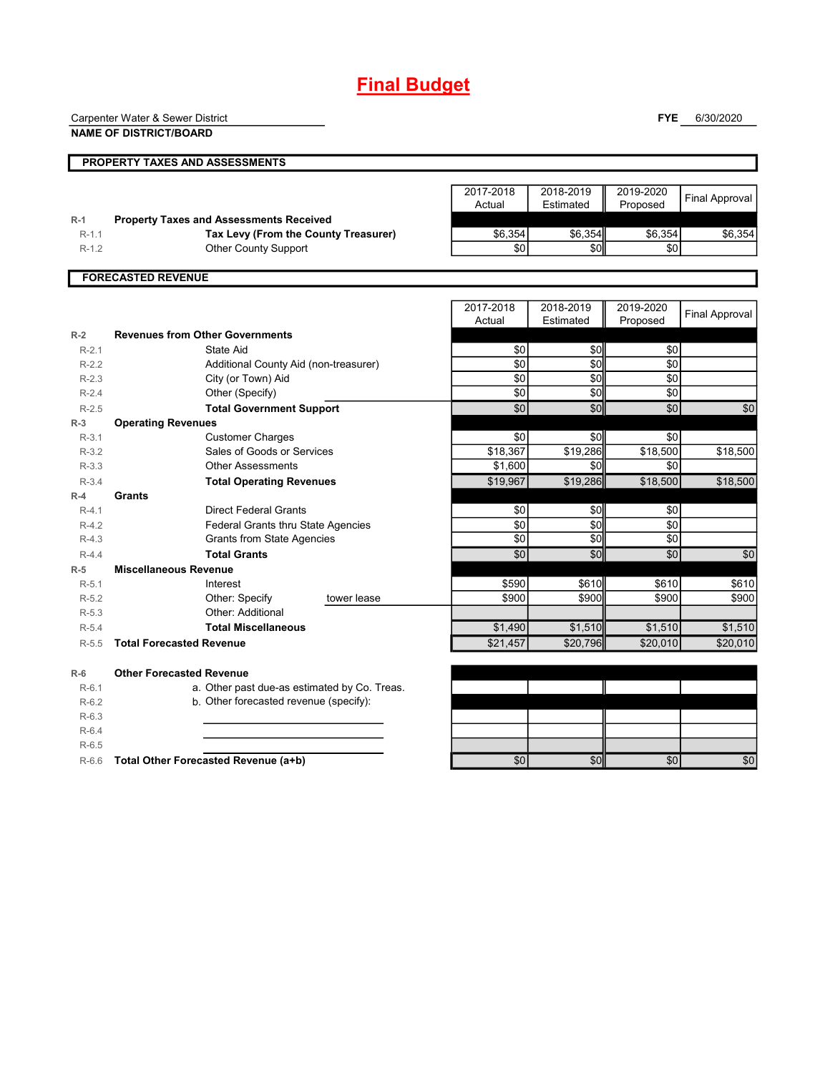# **Final Budget**

Carpenter Water & Sewer District

**NAME OF DISTRICT/BOARD**

**FYE** 6/30/2020

|                           | <b>PROPERTY TAXES AND ASSESSMENTS</b>          |                     |                        |                       |                |  |
|---------------------------|------------------------------------------------|---------------------|------------------------|-----------------------|----------------|--|
|                           |                                                | 2017-2018<br>Actual | 2018-2019<br>Estimated | 2019-2020<br>Proposed | Final Approval |  |
| $R-1$                     | <b>Property Taxes and Assessments Received</b> |                     |                        |                       |                |  |
| $R - 1.1$                 | Tax Levy (From the County Treasurer)           | \$6,354             | \$6,354                | \$6,354               | \$6,354        |  |
| $R-1.2$                   | <b>Other County Support</b>                    | \$0                 | \$0                    | \$0                   |                |  |
|                           |                                                |                     |                        |                       |                |  |
| <b>FORECASTED REVENUE</b> |                                                |                     |                        |                       |                |  |
|                           |                                                |                     |                        |                       |                |  |
|                           |                                                | 2017-2018<br>Actual | 2018-2019<br>Estimated | 2019-2020<br>Proposed | Final Approval |  |

|           |                                 |                                              |             | Actual   | Estimated | Proposed | $1.11$ ulululu ya 1990 $\sigma$ |
|-----------|---------------------------------|----------------------------------------------|-------------|----------|-----------|----------|---------------------------------|
| $R-2$     |                                 | <b>Revenues from Other Governments</b>       |             |          |           |          |                                 |
| $R-2.1$   |                                 | State Aid                                    |             | \$0      | \$0       | \$0      |                                 |
| $R-2.2$   |                                 | Additional County Aid (non-treasurer)        |             | \$0      | \$0       | \$0      |                                 |
| $R - 2.3$ |                                 | City (or Town) Aid                           |             | \$0      | \$0       | \$0      |                                 |
| $R - 2.4$ |                                 | Other (Specify)                              |             | \$0      | \$0       | \$0      |                                 |
| $R - 2.5$ |                                 | <b>Total Government Support</b>              |             | \$0      | \$0       | \$0      | \$0                             |
| $R-3$     | <b>Operating Revenues</b>       |                                              |             |          |           |          |                                 |
| $R-3.1$   |                                 | <b>Customer Charges</b>                      |             | \$0      | \$0       | \$0      |                                 |
| $R-3.2$   |                                 | Sales of Goods or Services                   |             | \$18,367 | \$19,286  | \$18,500 | \$18,500                        |
| $R-3.3$   |                                 | <b>Other Assessments</b>                     |             | \$1,600  | \$0       | \$0      |                                 |
| $R-3.4$   |                                 | <b>Total Operating Revenues</b>              |             | \$19,967 | \$19,286  | \$18,500 | \$18,500                        |
| $R-4$     | Grants                          |                                              |             |          |           |          |                                 |
| $R-4.1$   |                                 | <b>Direct Federal Grants</b>                 |             | \$0      | \$0       | \$0      |                                 |
| $R-4.2$   |                                 | Federal Grants thru State Agencies           |             | \$0      | \$0       | \$0      |                                 |
| $R-4.3$   |                                 | <b>Grants from State Agencies</b>            |             | \$0      | \$0       | \$0      |                                 |
| $R - 4.4$ |                                 | <b>Total Grants</b>                          |             | \$0      | \$0       | \$0      | \$0                             |
| $R-5$     | <b>Miscellaneous Revenue</b>    |                                              |             |          |           |          |                                 |
| $R-5.1$   |                                 | Interest                                     |             | \$590    | \$610     | \$610    | \$610                           |
| $R-5.2$   |                                 | Other: Specify                               | tower lease | \$900    | \$900     | \$900    | \$900                           |
| $R-5.3$   |                                 | Other: Additional                            |             |          |           |          |                                 |
| $R-5.4$   |                                 | <b>Total Miscellaneous</b>                   |             | \$1,490  | \$1,510   | \$1,510  | \$1,510                         |
| $R-5.5$   | <b>Total Forecasted Revenue</b> |                                              |             | \$21,457 | \$20,796  | \$20,010 | \$20,010                        |
| $R-6$     | <b>Other Forecasted Revenue</b> |                                              |             |          |           |          |                                 |
| $R-6.1$   |                                 | a. Other past due-as estimated by Co. Treas. |             |          |           |          |                                 |
| $R-6.2$   |                                 | b. Other forecasted revenue (specify):       |             |          |           |          |                                 |
| $R-6.3$   |                                 |                                              |             |          |           |          |                                 |
| $R-6.4$   |                                 |                                              |             |          |           |          |                                 |
| $R-6.5$   |                                 |                                              |             |          |           |          |                                 |
| $R-6.6$   |                                 | Total Other Forecasted Revenue (a+b)         |             | \$0      | \$0       | \$0      | \$0                             |
|           |                                 |                                              |             |          |           |          |                                 |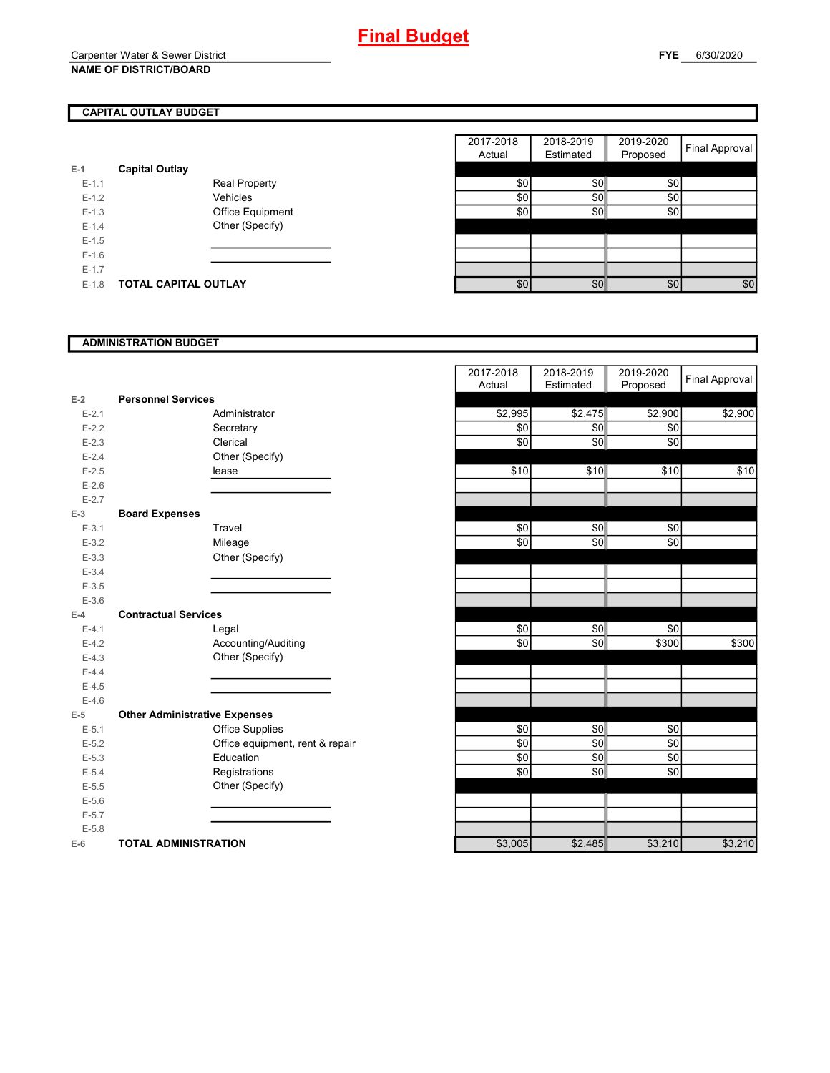## **CAPITAL OUTLAY BUDGET**

| $E-1$     | <b>Capital Outlay</b> |                         |
|-----------|-----------------------|-------------------------|
| $E - 1.1$ |                       | <b>Real Property</b>    |
| $E - 1.2$ |                       | Vehicles                |
| $E - 1.3$ |                       | <b>Office Equipment</b> |
| $F-14$    |                       | Other (Specify)         |
| $E - 1.5$ |                       |                         |
| $F-16$    |                       |                         |
| $F-17$    |                       |                         |
| E-1.8     | TOTAL CAPITAL OUTLAY  |                         |

|         |                       |                      | 2017-2018 | 2018-2019 | 2019-2020 |                |
|---------|-----------------------|----------------------|-----------|-----------|-----------|----------------|
|         |                       |                      | Actual    | Estimated | Proposed  | Final Approval |
|         | <b>Capital Outlay</b> |                      |           |           |           |                |
| $E-1.1$ |                       | <b>Real Property</b> | \$0       | \$0       | \$0       |                |
| $E-1.2$ |                       | Vehicles             | \$0       | \$0       | \$0       |                |
| $E-1.3$ |                       | Office Equipment     | \$0       | \$0       | \$0       |                |
| $E-1.4$ |                       | Other (Specify)      |           |           |           |                |
| $E-1.5$ |                       |                      |           |           |           |                |
| $E-1.6$ |                       |                      |           |           |           |                |
| $E-1.7$ |                       |                      |           |           |           |                |
| $E-1.8$ | TOTAL CAPITAL OUTLAY  |                      | \$0       | \$0       | \$0       | \$0            |

#### **ADMINISTRATION BUDGET**

|           |                                      |                                 | Actual  | Estimated | Proposed |
|-----------|--------------------------------------|---------------------------------|---------|-----------|----------|
| $E-2$     | <b>Personnel Services</b>            |                                 |         |           |          |
| $E - 2.1$ |                                      | Administrator                   | \$2,995 | \$2,475   | \$2,900  |
| $E - 2.2$ |                                      | Secretary                       | \$0     | \$0       | \$0      |
| $E - 2.3$ |                                      | Clerical                        | \$0     | \$0       | \$0      |
| $E-2.4$   |                                      | Other (Specify)                 |         |           |          |
| $E - 2.5$ |                                      | lease                           | \$10    | \$10      | \$10     |
| $E-2.6$   |                                      |                                 |         |           |          |
| $E - 2.7$ |                                      |                                 |         |           |          |
| $E-3$     | <b>Board Expenses</b>                |                                 |         |           |          |
| $E-3.1$   |                                      | Travel                          | \$0     | \$0       | \$0      |
| $E - 3.2$ |                                      | Mileage                         | \$0     | \$0       | \$0      |
| $E - 3.3$ |                                      | Other (Specify)                 |         |           |          |
| $E - 3.4$ |                                      |                                 |         |           |          |
| $E - 3.5$ |                                      |                                 |         |           |          |
| $E-3.6$   |                                      |                                 |         |           |          |
| $E-4$     | <b>Contractual Services</b>          |                                 |         |           |          |
| $E-4.1$   |                                      | Legal                           | \$0     | \$0       | \$0      |
| $E-4.2$   |                                      | Accounting/Auditing             | \$0     | \$0       | \$300    |
| $E-4.3$   |                                      | Other (Specify)                 |         |           |          |
| $E-4.4$   |                                      |                                 |         |           |          |
| $E-4.5$   |                                      |                                 |         |           |          |
| $E-4.6$   |                                      |                                 |         |           |          |
| $E-5$     | <b>Other Administrative Expenses</b> |                                 |         |           |          |
| $E-5.1$   |                                      | <b>Office Supplies</b>          | \$0     | \$0       | \$0      |
| $E - 5.2$ |                                      | Office equipment, rent & repair | \$0     | \$0       | \$0      |
| $E - 5.3$ |                                      | Education                       | \$0     | \$0       | \$0      |
| $E - 5.4$ |                                      | Registrations                   | \$0     | \$0       | \$0      |
| $E - 5.5$ |                                      | Other (Specify)                 |         |           |          |
| $E - 5.6$ |                                      |                                 |         |           |          |
| $E - 5.7$ |                                      |                                 |         |           |          |
| $E - 5.8$ |                                      |                                 |         |           |          |
| $E-6$     | <b>TOTAL ADMINISTRATION</b>          |                                 | \$3,005 | \$2,485   | \$3,210  |

|           |                                      | 2017-2018  | 2018-2019 | 2019-2020     | Final Approval |
|-----------|--------------------------------------|------------|-----------|---------------|----------------|
|           |                                      | Actual     | Estimated | Proposed      |                |
| $E-2$     | <b>Personnel Services</b>            |            |           |               |                |
| $E - 2.1$ | Administrator                        | \$2,995    | \$2,475   | \$2,900       | \$2,900        |
| $E - 2.2$ | Secretary                            | \$0        | \$0       | \$0           |                |
| $E - 2.3$ | Clerical                             | \$0        | \$0       | \$0           |                |
| $E - 2.4$ | Other (Specify)                      |            |           |               |                |
| $E - 2.5$ | lease                                | \$10       | \$10      | \$10          | \$10           |
| $E-2.6$   |                                      |            |           |               |                |
| $E - 2.7$ |                                      |            |           |               |                |
| $E-3$     | <b>Board Expenses</b>                |            |           |               |                |
| $E-3.1$   | Travel                               | \$0        | \$0       | \$0           |                |
| $E - 3.2$ | Mileage                              | \$0        | \$0       | \$0           |                |
| $E - 3.3$ | Other (Specify)                      |            |           |               |                |
| $E - 3.4$ |                                      |            |           |               |                |
| $E - 3.5$ |                                      |            |           |               |                |
| $E - 3.6$ |                                      |            |           |               |                |
| $E-4$     | <b>Contractual Services</b>          |            |           |               |                |
| $E-4.1$   | Legal                                | $\sqrt{6}$ | \$0       | $\frac{6}{3}$ |                |
| $E-4.2$   | Accounting/Auditing                  | \$0        | \$0       | \$300         | \$300          |
| $E-4.3$   | Other (Specify)                      |            |           |               |                |
| $E-4.4$   |                                      |            |           |               |                |
| $E-4.5$   |                                      |            |           |               |                |
| $E-4.6$   |                                      |            |           |               |                |
| $E-5$     | <b>Other Administrative Expenses</b> |            |           |               |                |
| $E-5.1$   | <b>Office Supplies</b>               | \$0        | \$0       | \$0           |                |
| $E - 5.2$ | Office equipment, rent & repair      | \$0        | \$0       | \$0           |                |
| $E-5.3$   | Education                            | \$0        | \$0       | \$0           |                |
| $E - 5.4$ | Registrations                        | \$0        | \$0       | $\sqrt{6}$    |                |
| $E - 5.5$ | Other (Specify)                      |            |           |               |                |
| $E-5.6$   |                                      |            |           |               |                |
| $E - 5.7$ |                                      |            |           |               |                |
| $E - 5.8$ |                                      |            |           |               |                |
| $E-6$     | <b>TOTAL ADMINISTRATION</b>          | \$3,005    | \$2,485   | \$3,210       | \$3,210        |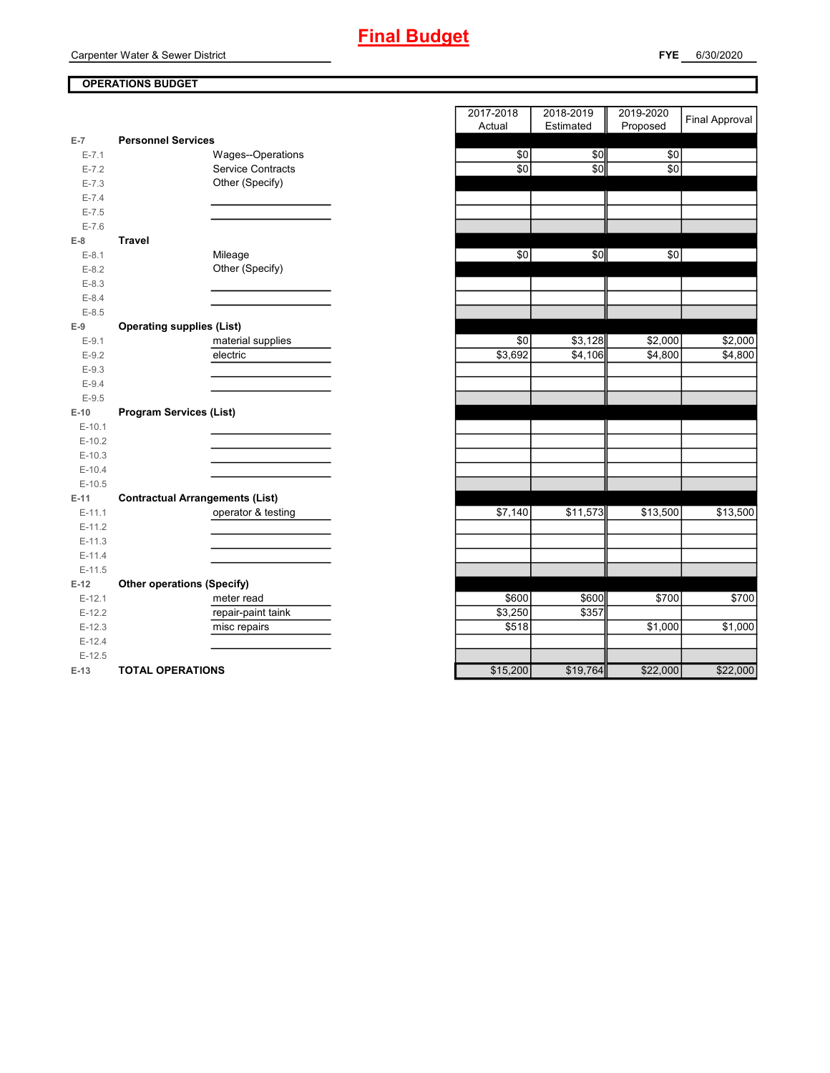Carpenter Water & Sewer District

## **OPERATIONS BUDGET**

| $E-7$     | <b>Personnel Services</b>              |          |          |                   |
|-----------|----------------------------------------|----------|----------|-------------------|
| $E - 7.1$ | Wages--Operations                      | \$0      | \$0      | \$0               |
| $E - 7.2$ | Service Contracts                      | \$0      | \$0      | \$0               |
| $E - 7.3$ | Other (Specify)                        |          |          |                   |
| $E - 7.4$ |                                        |          |          |                   |
| $E - 7.5$ |                                        |          |          |                   |
| $E - 7.6$ |                                        |          |          |                   |
| $E-8$     | <b>Travel</b>                          |          |          |                   |
| $E-8.1$   | Mileage                                | \$0      | \$0      | \$0               |
| $E-8.2$   | Other (Specify)                        |          |          |                   |
| $E - 8.3$ |                                        |          |          |                   |
| $E - 8.4$ |                                        |          |          |                   |
| $E-8.5$   |                                        |          |          |                   |
| $E-9$     | <b>Operating supplies (List)</b>       |          |          |                   |
| $E-9.1$   | material supplies                      | \$0      | \$3,128  | \$2,000           |
| $E-9.2$   | electric                               | \$3,692  | \$4,106  | \$4,800           |
| $E - 9.3$ |                                        |          |          |                   |
| $E - 9.4$ |                                        |          |          |                   |
| $E-9.5$   |                                        |          |          |                   |
| $E-10$    | <b>Program Services (List)</b>         |          |          |                   |
| $E-10.1$  |                                        |          |          |                   |
| $E-10.2$  |                                        |          |          |                   |
| $E-10.3$  |                                        |          |          |                   |
| $E-10.4$  |                                        |          |          |                   |
| $E-10.5$  |                                        |          |          |                   |
| $E-11$    | <b>Contractual Arrangements (List)</b> |          |          |                   |
| $E-11.1$  | operator & testing                     | \$7,140  | \$11,573 | \$13,500          |
| $E-11.2$  |                                        |          |          |                   |
| $E-11.3$  |                                        |          |          |                   |
| $E-11.4$  |                                        |          |          |                   |
| $E-11.5$  |                                        |          |          |                   |
| $E-12$    | <b>Other operations (Specify)</b>      |          |          |                   |
| $E-12.1$  | meter read                             | \$600    | \$600    | $\frac{1}{15700}$ |
| $E-12.2$  | repair-paint taink                     | \$3,250  | \$357    |                   |
| $E-12.3$  | misc repairs                           | \$518    |          | \$1,000           |
| $E-12.4$  |                                        |          |          |                   |
| $E-12.5$  |                                        |          |          |                   |
| $E-13$    | <b>TOTAL OPERATIONS</b>                | \$15,200 | \$19,764 | \$22,000          |

|                |                                        | 2017-2018 | 2018-2019 | 2019-2020 |                       |
|----------------|----------------------------------------|-----------|-----------|-----------|-----------------------|
|                |                                        | Actual    | Estimated | Proposed  | <b>Final Approval</b> |
| $\overline{7}$ | <b>Personnel Services</b>              |           |           |           |                       |
| $E - 7.1$      | Wages--Operations                      | \$0       | \$0       | \$0       |                       |
| $E - 7.2$      | <b>Service Contracts</b>               | \$0       | \$0       | \$0       |                       |
| $E - 7.3$      | Other (Specify)                        |           |           |           |                       |
| $E - 7.4$      |                                        |           |           |           |                       |
| $E - 7.5$      |                                        |           |           |           |                       |
| $E - 7.6$      |                                        |           |           |           |                       |
| 8              | <b>Travel</b>                          |           |           |           |                       |
| $E-8.1$        | Mileage                                | \$0       | \$0       | \$0       |                       |
| $E - 8.2$      | Other (Specify)                        |           |           |           |                       |
| $E - 8.3$      |                                        |           |           |           |                       |
| $E - 8.4$      |                                        |           |           |           |                       |
| $E - 8.5$      |                                        |           |           |           |                       |
| 9              | <b>Operating supplies (List)</b>       |           |           |           |                       |
| $E-9.1$        | material supplies                      | \$0       | \$3,128   | \$2,000   | \$2,000               |
| $E - 9.2$      | electric                               | \$3,692   | \$4,106   | \$4,800   | \$4,800               |
| $E - 9.3$      |                                        |           |           |           |                       |
| $E - 9.4$      |                                        |           |           |           |                       |
| $E-9.5$        |                                        |           |           |           |                       |
| 10             | <b>Program Services (List)</b>         |           |           |           |                       |
| $E-10.1$       |                                        |           |           |           |                       |
| $E-10.2$       |                                        |           |           |           |                       |
| $E-10.3$       |                                        |           |           |           |                       |
| $E-10.4$       |                                        |           |           |           |                       |
| $E-10.5$       |                                        |           |           |           |                       |
| 11             | <b>Contractual Arrangements (List)</b> |           |           |           |                       |
| $E-11.1$       | operator & testing                     | \$7,140   | \$11,573  | \$13,500  | \$13,500              |
| $E-11.2$       |                                        |           |           |           |                       |
| $E-11.3$       |                                        |           |           |           |                       |
| $E-11.4$       |                                        |           |           |           |                       |
| $E-11.5$       |                                        |           |           |           |                       |
| 12             | <b>Other operations (Specify)</b>      |           |           |           |                       |
| E-12.1         | meter read                             | \$600     | \$600     | \$700     | \$700                 |
| $E-12.2$       | repair-paint taink                     | \$3,250   | \$357     |           |                       |
| $E-12.3$       | misc repairs                           | \$518     |           | \$1,000   | \$1,000               |
| $E-12.4$       |                                        |           |           |           |                       |
| $E-12.5$       |                                        |           |           |           |                       |
| $13 -$         | TOTAL OPERATIONS                       | \$15,200  | \$19764   | \$22,000  | \$22,000              |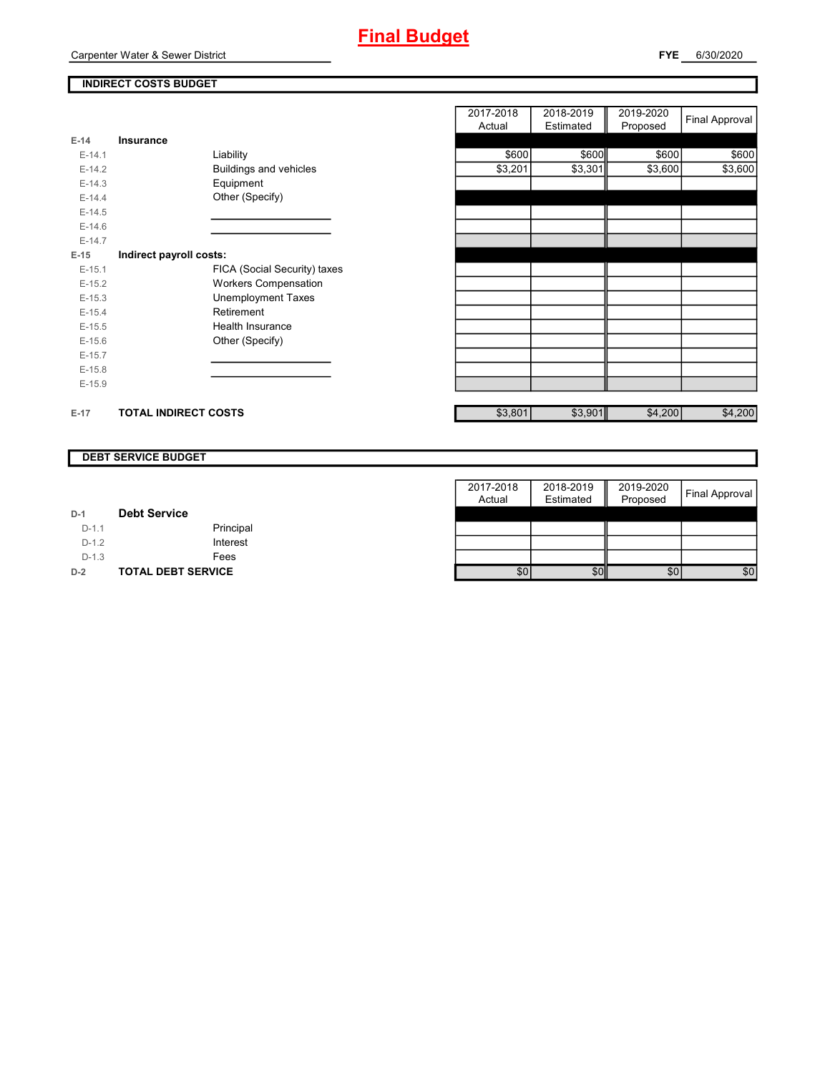

## **INDIRECT COSTS BUDGET**

| E-14     | Insurance                   |                              |
|----------|-----------------------------|------------------------------|
| $F-14.1$ |                             | Liability                    |
| $E-14.2$ |                             | Buildings and vehicles       |
| $E-14.3$ |                             | Equipment                    |
| $F-144$  |                             | Other (Specify)              |
| $F-14.5$ |                             |                              |
| $E-14.6$ |                             |                              |
| $F-147$  |                             |                              |
| $E-15$   | Indirect payroll costs:     |                              |
| $E-15.1$ |                             | FICA (Social Security) taxes |
| $E-15.2$ |                             | <b>Workers Compensation</b>  |
| $E-15.3$ |                             | Unemployment Taxes           |
| $E-15.4$ |                             | Retirement                   |
| $E-15.5$ |                             | Health Insurance             |
| $E-15.6$ |                             | Other (Specify)              |
| $E-15.7$ |                             |                              |
| $E-15.8$ |                             |                              |
| $E-15.9$ |                             |                              |
|          |                             |                              |
| $E-17$   | <b>TOTAL INDIRECT COSTS</b> |                              |

|          |                             |                              | 2017-2018 | 2018-2019 | 2019-2020 |                |
|----------|-----------------------------|------------------------------|-----------|-----------|-----------|----------------|
|          |                             |                              | Actual    | Estimated | Proposed  | Final Approval |
| 14       | Insurance                   |                              |           |           |           |                |
| $E-14.1$ |                             | Liability                    | \$600     | \$600     | \$600     | \$600          |
| $E-14.2$ |                             | Buildings and vehicles       | \$3,201   | \$3,301   | \$3,600   | \$3,600        |
| $E-14.3$ |                             | Equipment                    |           |           |           |                |
| $E-14.4$ |                             | Other (Specify)              |           |           |           |                |
| $E-14.5$ |                             |                              |           |           |           |                |
| $E-14.6$ |                             |                              |           |           |           |                |
| $E-14.7$ |                             |                              |           |           |           |                |
| 15       | Indirect payroll costs:     |                              |           |           |           |                |
| $E-15.1$ |                             | FICA (Social Security) taxes |           |           |           |                |
| $E-15.2$ |                             | <b>Workers Compensation</b>  |           |           |           |                |
| $E-15.3$ |                             | <b>Unemployment Taxes</b>    |           |           |           |                |
| $E-15.4$ |                             | Retirement                   |           |           |           |                |
| $E-15.5$ |                             | Health Insurance             |           |           |           |                |
| $E-15.6$ |                             | Other (Specify)              |           |           |           |                |
| $E-15.7$ |                             |                              |           |           |           |                |
| $E-15.8$ |                             |                              |           |           |           |                |
| $E-15.9$ |                             |                              |           |           |           |                |
|          |                             |                              |           |           |           |                |
| 17       | <b>TOTAL INDIRECT COSTS</b> |                              | \$3,801   | \$3,901   | \$4,200   | \$4,200        |
|          |                             |                              |           |           |           |                |

#### **DEBT SERVICE BUDGET**

|         |                           | 2017-2018 | 2018-2019 | 2019-2020 |                       |
|---------|---------------------------|-----------|-----------|-----------|-----------------------|
|         |                           | Actual    | Estimated | Proposed  | <b>Final Approval</b> |
| $D-1$   | <b>Debt Service</b>       |           |           |           |                       |
| $D-1.1$ | Principal                 |           |           |           |                       |
| $D-1.2$ | Interest                  |           |           |           |                       |
| $D-1.3$ | Fees                      |           |           |           |                       |
| $D-2$   | <b>TOTAL DEBT SERVICE</b> | \$0       | \$0       | \$0       | \$0                   |